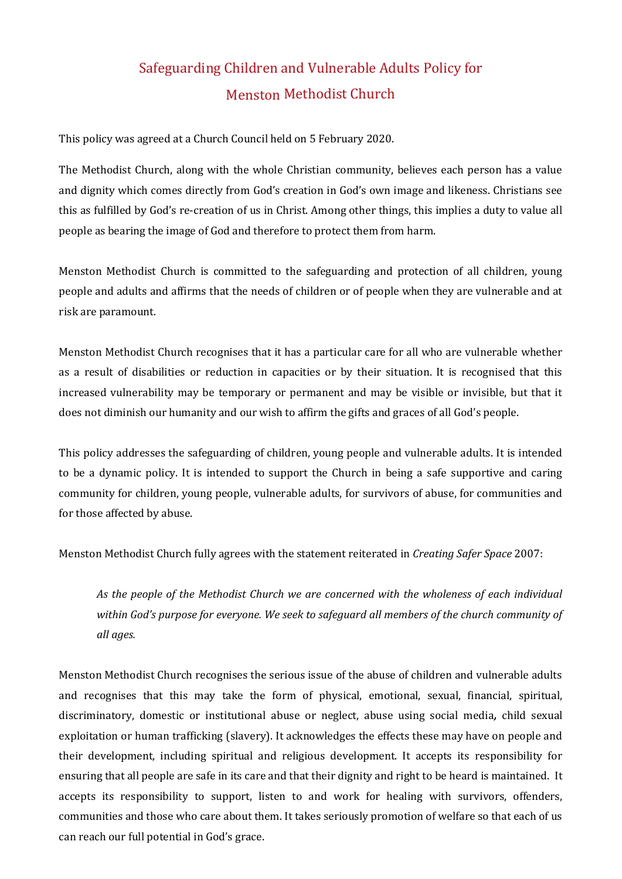# Safeguarding Children and Vulnerable Adults Policy for Menston Methodist Church

This policy was agreed at a Church Council held on 5 February 2020.

The Methodist Church, along with the whole Christian community, believes each person has a value and dignity which comes directly from God's creation in God's own image and likeness. Christians see this as fulfilled by God's re-creation of us in Christ. Among other things, this implies a duty to value all people as bearing the image of God and therefore to protect them from harm.

Menston Methodist Church is committed to the safeguarding and protection of all children, young people and adults and affirms that the needs of children or of people when they are vulnerable and at risk are paramount.

Menston Methodist Church recognises that it has a particular care for all who are vulnerable whether as a result of disabilities or reduction in capacities or by their situation. It is recognised that this increased vulnerability may be temporary or permanent and may be visible or invisible, but that it does not diminish our humanity and our wish to affirm the gifts and graces of all God's people.

This policy addresses the safeguarding of children, young people and vulnerable adults. It is intended to be a dynamic policy. It is intended to support the Church in being a safe supportive and caring community for children, young people, vulnerable adults, for survivors of abuse, for communities and for those affected by abuse.

Menston Methodist Church fully agrees with the statement reiterated in *Creating Safer Space* 2007:

*As the people of the Methodist Church we are concerned with the wholeness of each individual within God's purpose for everyone. We seek to safeguard all members of the church community of all ages.* 

Menston Methodist Church recognises the serious issue of the abuse of children and vulnerable adults and recognises that this may take the form of physical, emotional, sexual, financial, spiritual, discriminatory, domestic or institutional abuse or neglect, abuse using social media*,* child sexual exploitation or human trafficking (slavery). It acknowledges the effects these may have on people and their development, including spiritual and religious development. It accepts its responsibility for ensuring that all people are safe in its care and that their dignity and right to be heard is maintained. It accepts its responsibility to support, listen to and work for healing with survivors, offenders, communities and those who care about them. It takes seriously promotion of welfare so that each of us can reach our full potential in God's grace.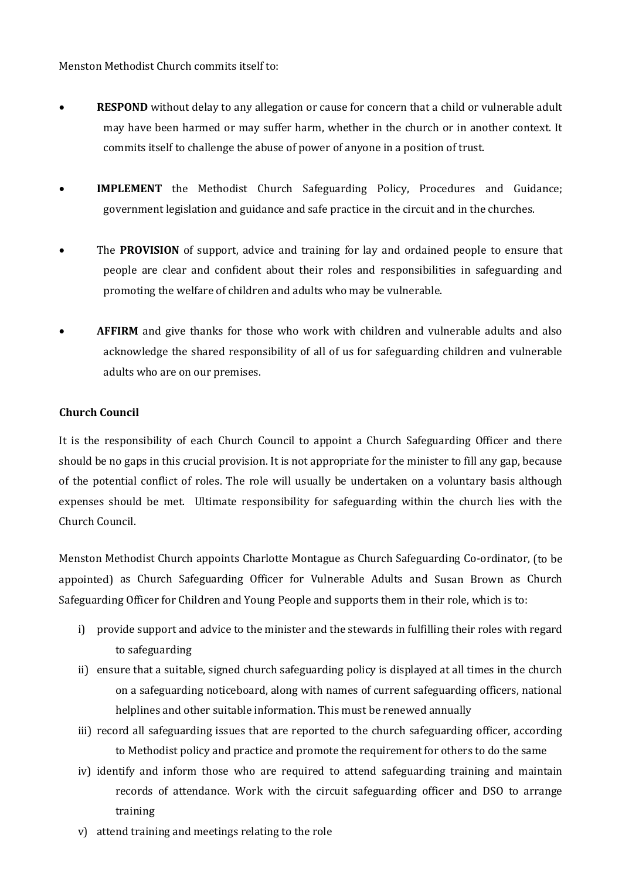Menston Methodist Church commits itself to:

- **RESPOND** without delay to any allegation or cause for concern that a child or vulnerable adult may have been harmed or may suffer harm, whether in the church or in another context. It commits itself to challenge the abuse of power of anyone in a position of trust.
- **IMPLEMENT** the Methodist Church Safeguarding Policy, Procedures and Guidance; government legislation and guidance and safe practice in the circuit and in the churches.
- The **PROVISION** of support, advice and training for lay and ordained people to ensure that people are clear and confident about their roles and responsibilities in safeguarding and promoting the welfare of children and adults who may be vulnerable.
- **AFFIRM** and give thanks for those who work with children and vulnerable adults and also acknowledge the shared responsibility of all of us for safeguarding children and vulnerable adults who are on our premises.

## **Church Council**

It is the responsibility of each Church Council to appoint a Church Safeguarding Officer and there should be no gaps in this crucial provision. It is not appropriate for the minister to fill any gap, because of the potential conflict of roles. The role will usually be undertaken on a voluntary basis although expenses should be met. Ultimate responsibility for safeguarding within the church lies with the Church Council.

Menston Methodist Church appoints Charlotte Montague as Church Safeguarding Co-ordinator, (to be appointed) as Church Safeguarding Officer for Vulnerable Adults and Susan Brown as Church Safeguarding Officer for Children and Young People and supports them in their role, which is to:

- i) provide support and advice to the minister and the stewards in fulfilling their roles with regard to safeguarding
- ii) ensure that a suitable, signed church safeguarding policy is displayed at all times in the church on a safeguarding noticeboard, along with names of current safeguarding officers, national helplines and other suitable information. This must be renewed annually
- iii) record all safeguarding issues that are reported to the church safeguarding officer, according to Methodist policy and practice and promote the requirement for others to do the same
- iv) identify and inform those who are required to attend safeguarding training and maintain records of attendance. Work with the circuit safeguarding officer and DSO to arrange training
- v) attend training and meetings relating to the role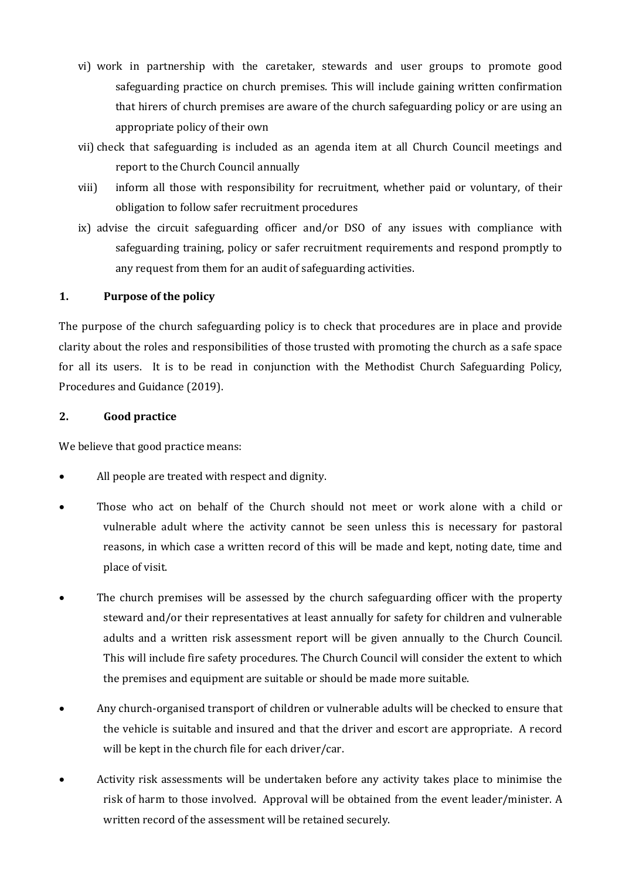- vi) work in partnership with the caretaker, stewards and user groups to promote good safeguarding practice on church premises. This will include gaining written confirmation that hirers of church premises are aware of the church safeguarding policy or are using an appropriate policy of their own
- vii) check that safeguarding is included as an agenda item at all Church Council meetings and report to the Church Council annually
- viii) inform all those with responsibility for recruitment, whether paid or voluntary, of their obligation to follow safer recruitment procedures
- ix) advise the circuit safeguarding officer and/or DSO of any issues with compliance with safeguarding training, policy or safer recruitment requirements and respond promptly to any request from them for an audit of safeguarding activities.

## **1. Purpose of the policy**

The purpose of the church safeguarding policy is to check that procedures are in place and provide clarity about the roles and responsibilities of those trusted with promoting the church as a safe space for all its users. It is to be read in conjunction with the Methodist Church Safeguarding Policy, Procedures and Guidance (2019).

#### **2. Good practice**

We believe that good practice means:

- All people are treated with respect and dignity.
- Those who act on behalf of the Church should not meet or work alone with a child or vulnerable adult where the activity cannot be seen unless this is necessary for pastoral reasons, in which case a written record of this will be made and kept, noting date, time and place of visit.
- The church premises will be assessed by the church safeguarding officer with the property steward and/or their representatives at least annually for safety for children and vulnerable adults and a written risk assessment report will be given annually to the Church Council. This will include fire safety procedures. The Church Council will consider the extent to which the premises and equipment are suitable or should be made more suitable.
- Any church-organised transport of children or vulnerable adults will be checked to ensure that the vehicle is suitable and insured and that the driver and escort are appropriate. A record will be kept in the church file for each driver/car.
- Activity risk assessments will be undertaken before any activity takes place to minimise the risk of harm to those involved. Approval will be obtained from the event leader/minister. A written record of the assessment will be retained securely.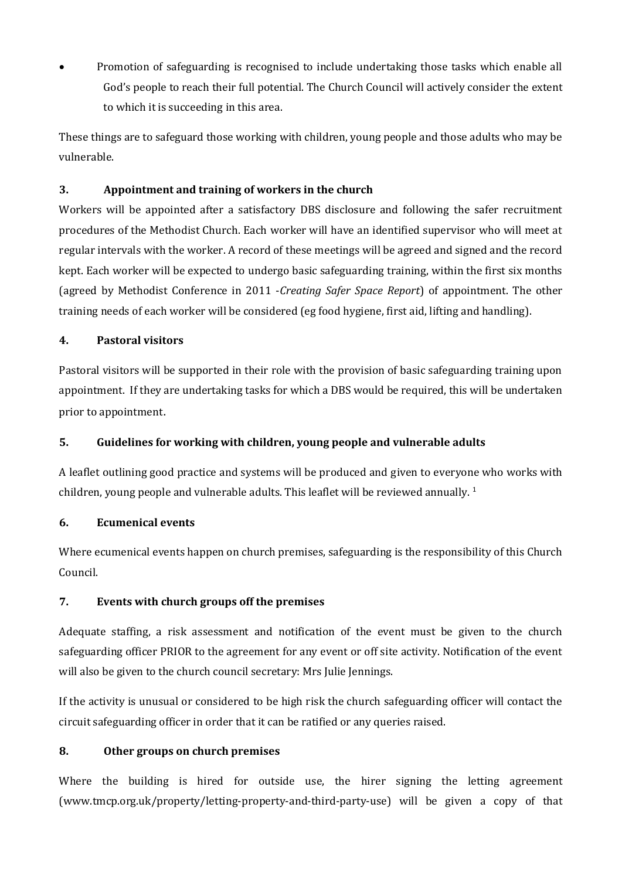• Promotion of safeguarding is recognised to include undertaking those tasks which enable all God's people to reach their full potential. The Church Council will actively consider the extent to which it is succeeding in this area.

These things are to safeguard those working with children, young people and those adults who may be vulnerable.

## **3. Appointment and training of workers in the church**

Workers will be appointed after a satisfactory DBS disclosure and following the safer recruitment procedures of the Methodist Church. Each worker will have an identified supervisor who will meet at regular intervals with the worker. A record of these meetings will be agreed and signed and the record kept. Each worker will be expected to undergo basic safeguarding training, within the first six months (agreed by Methodist Conference in 2011 -*Creating Safer Space Report*) of appointment. The other training needs of each worker will be considered (eg food hygiene, first aid, lifting and handling).

## **4. Pastoral visitors**

Pastoral visitors will be supported in their role with the provision of basic safeguarding training upon appointment. If they are undertaking tasks for which a DBS would be required, this will be undertaken prior to appointment.

# **5. Guidelines for working with children, young people and vulnerable adults**

A leaflet outlining good practice and systems will be produced and given to everyone who works with children, young people and vulnerable adults. This leaflet will be reviewed annually.  $1$ 

## **6. Ecumenical events**

Where ecumenical events happen on church premises, safeguarding is the responsibility of this Church Council.

# **7. Events with church groups off the premises**

Adequate staffing, a risk assessment and notification of the event must be given to the church safeguarding officer PRIOR to the agreement for any event or off site activity. Notification of the event will also be given to the church council secretary: Mrs Julie Jennings.

If the activity is unusual or considered to be high risk the church safeguarding officer will contact the circuit safeguarding officer in order that it can be ratified or any queries raised.

## **8. Other groups on church premises**

Where the building is hired for outside use, the hirer signing the letting agreement [\(www.tmcp.org.uk/property/letting-property-and-third-party-use\)](http://www.tmcp.org.uk/property/letting-property-and-third-party-use) will be given a copy of that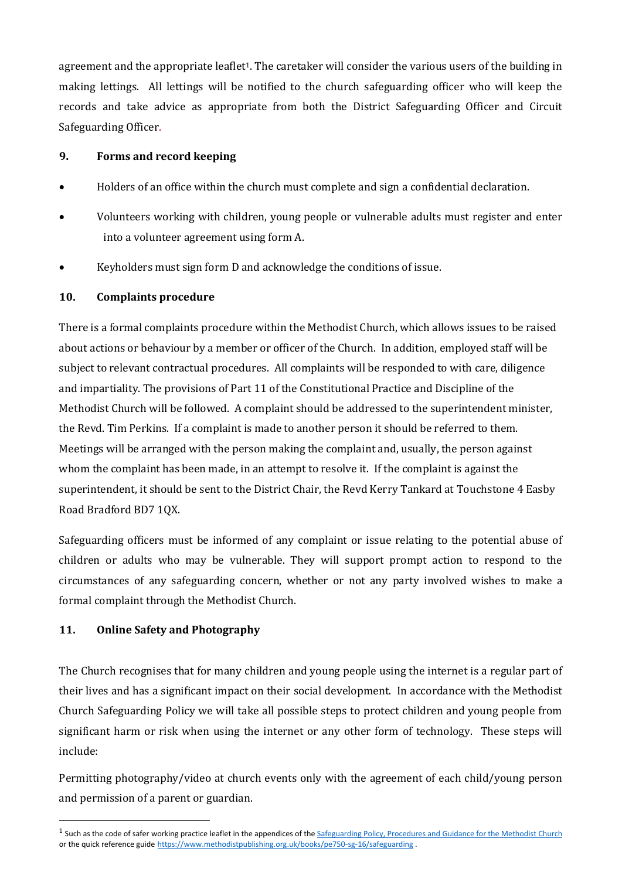agreement and the appropriate leaflet<sup>1</sup>. The caretaker will consider the various users of the building in making lettings. All lettings will be notified to the church safeguarding officer who will keep the records and take advice as appropriate from both the District Safeguarding Officer and Circuit Safeguarding Officer.

## **9. Forms and record keeping**

- Holders of an office within the church must complete and sign a confidential declaration.
- Volunteers working with children, young people or vulnerable adults must register and enter into a volunteer agreement using form A.
- Keyholders must sign form D and acknowledge the conditions of issue.

## **10. Complaints procedure**

There is a formal complaints procedure within the Methodist Church, which allows issues to be raised about actions or behaviour by a member or officer of the Church. In addition, employed staff will be subject to relevant contractual procedures. All complaints will be responded to with care, diligence and impartiality. The provisions of Part 11 of the Constitutional Practice and Discipline of the Methodist Church will be followed. A complaint should be addressed to the superintendent minister, the Revd. Tim Perkins. If a complaint is made to another person it should be referred to them. Meetings will be arranged with the person making the complaint and, usually, the person against whom the complaint has been made, in an attempt to resolve it. If the complaint is against the superintendent, it should be sent to the District Chair, the Revd Kerry Tankard at Touchstone 4 Easby Road Bradford BD7 1QX.

Safeguarding officers must be informed of any complaint or issue relating to the potential abuse of children or adults who may be vulnerable. They will support prompt action to respond to the circumstances of any safeguarding concern, whether or not any party involved wishes to make a formal complaint through the Methodist Church.

## **11. Online Safety and Photography**

The Church recognises that for many children and young people using the internet is a regular part of their lives and has a significant impact on their social development. In accordance with the Methodist Church Safeguarding Policy we will take all possible steps to protect children and young people from significant harm or risk when using the internet or any other form of technology. These steps will include:

Permitting photography/video at church events only with the agreement of each child/young person and permission of a parent or guardian.

 $<sup>1</sup>$  Such as the code of safer working practice leaflet in the appendices of the  $\overline{\text{Safeguarding Policy}}$ , Procedures and Guidance for the Methodist Church</sup> or the quick reference guide <https://www.methodistpublishing.org.uk/books/pe750-sg-16/safeguarding> .